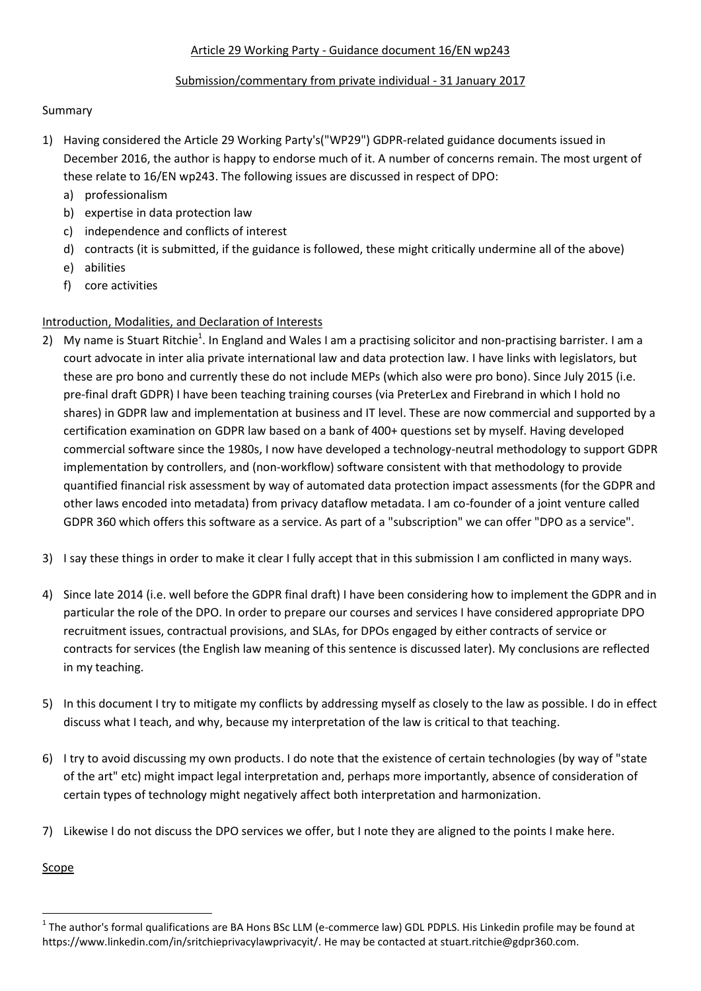### Article 29 Working Party - Guidance document 16/EN wp243

### Submission/commentary from private individual - 31 January 2017

### Summary

- 1) Having considered the Article 29 Working Party's("WP29") GDPR-related guidance documents issued in December 2016, the author is happy to endorse much of it. A number of concerns remain. The most urgent of these relate to 16/EN wp243. The following issues are discussed in respect of DPO:
	- a) professionalism
	- b) expertise in data protection law
	- c) independence and conflicts of interest
	- d) contracts (it is submitted, if the guidance is followed, these might critically undermine all of the above)
	- e) abilities
	- f) core activities

# Introduction, Modalities, and Declaration of Interests

- 2) My name is Stuart Ritchie<sup>1</sup>. In England and Wales I am a practising solicitor and non-practising barrister. I am a court advocate in inter alia private international law and data protection law. I have links with legislators, but these are pro bono and currently these do not include MEPs (which also were pro bono). Since July 2015 (i.e. pre-final draft GDPR) I have been teaching training courses (via PreterLex and Firebrand in which I hold no shares) in GDPR law and implementation at business and IT level. These are now commercial and supported by a certification examination on GDPR law based on a bank of 400+ questions set by myself. Having developed commercial software since the 1980s, I now have developed a technology-neutral methodology to support GDPR implementation by controllers, and (non-workflow) software consistent with that methodology to provide quantified financial risk assessment by way of automated data protection impact assessments (for the GDPR and other laws encoded into metadata) from privacy dataflow metadata. I am co-founder of a joint venture called GDPR 360 which offers this software as a service. As part of a "subscription" we can offer "DPO as a service".
- 3) I say these things in order to make it clear I fully accept that in this submission I am conflicted in many ways.
- 4) Since late 2014 (i.e. well before the GDPR final draft) I have been considering how to implement the GDPR and in particular the role of the DPO. In order to prepare our courses and services I have considered appropriate DPO recruitment issues, contractual provisions, and SLAs, for DPOs engaged by either contracts of service or contracts for services (the English law meaning of this sentence is discussed later). My conclusions are reflected in my teaching.
- 5) In this document I try to mitigate my conflicts by addressing myself as closely to the law as possible. I do in effect discuss what I teach, and why, because my interpretation of the law is critical to that teaching.
- 6) I try to avoid discussing my own products. I do note that the existence of certain technologies (by way of "state of the art" etc) might impact legal interpretation and, perhaps more importantly, absence of consideration of certain types of technology might negatively affect both interpretation and harmonization.
- 7) Likewise I do not discuss the DPO services we offer, but I note they are aligned to the points I make here.

**Scope** 

1

 $^1$  The author's formal qualifications are BA Hons BSc LLM (e-commerce law) GDL PDPLS. His Linkedin profile may be found at https://www.linkedin.com/in/sritchieprivacylawprivacyit/. He may be contacted at stuart.ritchie@gdpr360.com.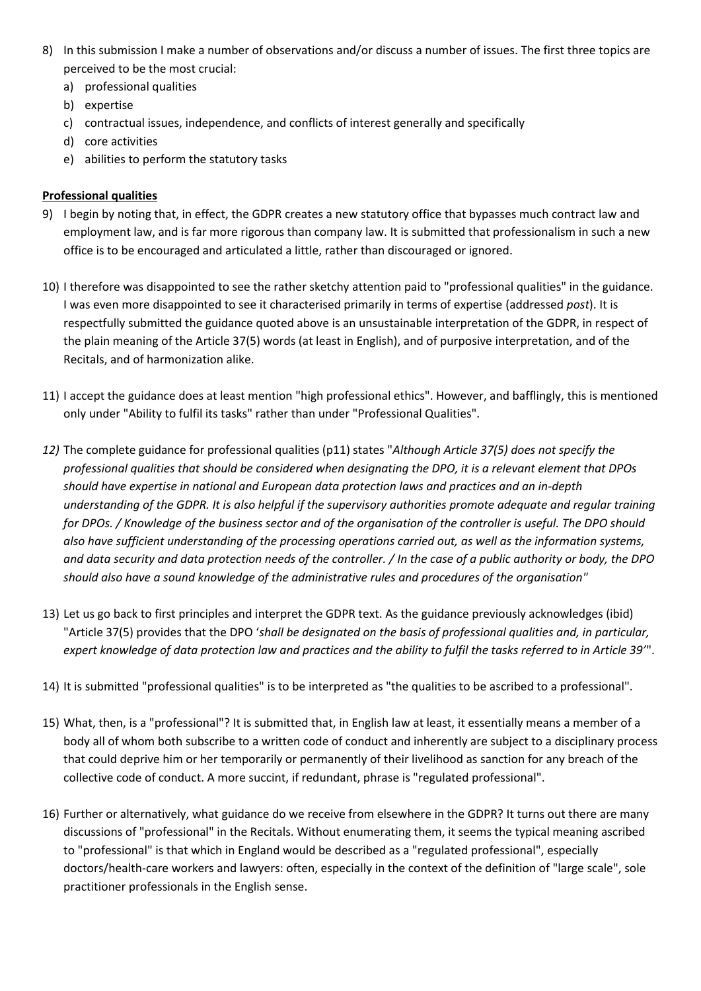- 8) In this submission I make a number of observations and/or discuss a number of issues. The first three topics are perceived to be the most crucial:
	- a) professional qualities
	- b) expertise
	- c) contractual issues, independence, and conflicts of interest generally and specifically
	- d) core activities
	- e) abilities to perform the statutory tasks

## **Professional qualities**

- 9) I begin by noting that, in effect, the GDPR creates a new statutory office that bypasses much contract law and employment law, and is far more rigorous than company law. It is submitted that professionalism in such a new office is to be encouraged and articulated a little, rather than discouraged or ignored.
- 10) I therefore was disappointed to see the rather sketchy attention paid to "professional qualities" in the guidance. I was even more disappointed to see it characterised primarily in terms of expertise (addressed *post*). It is respectfully submitted the guidance quoted above is an unsustainable interpretation of the GDPR, in respect of the plain meaning of the Article 37(5) words (at least in English), and of purposive interpretation, and of the Recitals, and of harmonization alike.
- 11) I accept the guidance does at least mention "high professional ethics". However, and bafflingly, this is mentioned only under "Ability to fulfil its tasks" rather than under "Professional Qualities".
- *12)* The complete guidance for professional qualities (p11) states "*Although Article 37(5) does not specify the professional qualities that should be considered when designating the DPO, it is a relevant element that DPOs should have expertise in national and European data protection laws and practices and an in-depth understanding of the GDPR. It is also helpful if the supervisory authorities promote adequate and regular training for DPOs. / Knowledge of the business sector and of the organisation of the controller is useful. The DPO should also have sufficient understanding of the processing operations carried out, as well as the information systems, and data security and data protection needs of the controller. / In the case of a public authority or body, the DPO should also have a sound knowledge of the administrative rules and procedures of the organisation"*
- 13) Let us go back to first principles and interpret the GDPR text. As the guidance previously acknowledges (ibid) "Article 37(5) provides that the DPO '*shall be designated on the basis of professional qualities and, in particular, expert knowledge of data protection law and practices and the ability to fulfil the tasks referred to in Article 39'*".
- 14) It is submitted "professional qualities" is to be interpreted as "the qualities to be ascribed to a professional".
- 15) What, then, is a "professional"? It is submitted that, in English law at least, it essentially means a member of a body all of whom both subscribe to a written code of conduct and inherently are subject to a disciplinary process that could deprive him or her temporarily or permanently of their livelihood as sanction for any breach of the collective code of conduct. A more succint, if redundant, phrase is "regulated professional".
- 16) Further or alternatively, what guidance do we receive from elsewhere in the GDPR? It turns out there are many discussions of "professional" in the Recitals. Without enumerating them, it seems the typical meaning ascribed to "professional" is that which in England would be described as a "regulated professional", especially doctors/health-care workers and lawyers: often, especially in the context of the definition of "large scale", sole practitioner professionals in the English sense.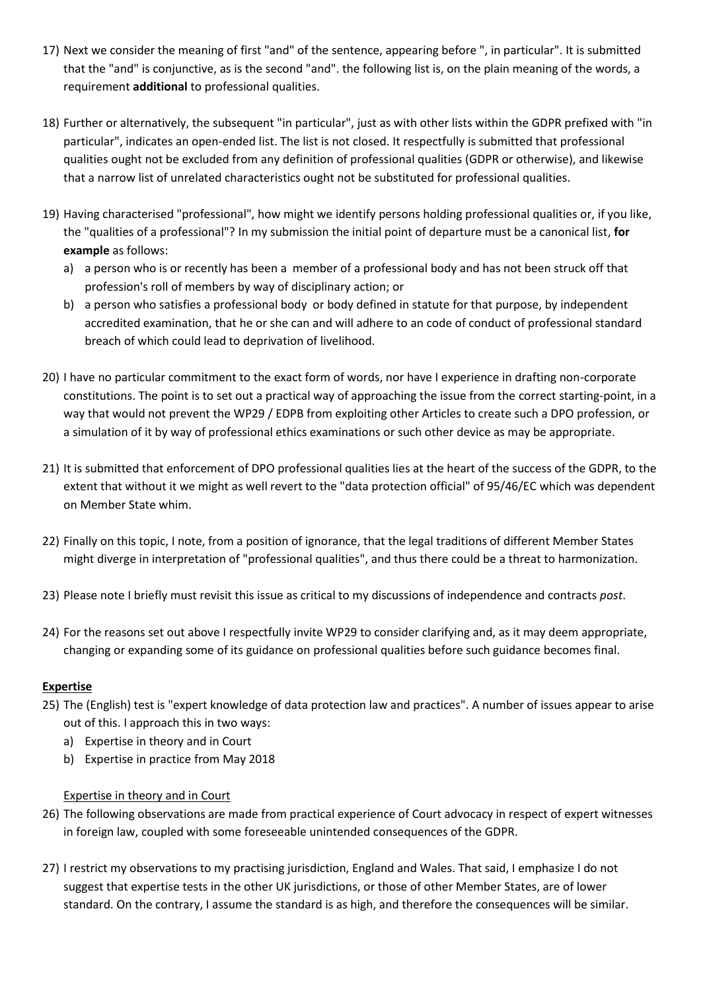- 17) Next we consider the meaning of first "and" of the sentence, appearing before ", in particular". It is submitted that the "and" is conjunctive, as is the second "and". the following list is, on the plain meaning of the words, a requirement **additional** to professional qualities.
- 18) Further or alternatively, the subsequent "in particular", just as with other lists within the GDPR prefixed with "in particular", indicates an open-ended list. The list is not closed. It respectfully is submitted that professional qualities ought not be excluded from any definition of professional qualities (GDPR or otherwise), and likewise that a narrow list of unrelated characteristics ought not be substituted for professional qualities.
- 19) Having characterised "professional", how might we identify persons holding professional qualities or, if you like, the "qualities of a professional"? In my submission the initial point of departure must be a canonical list, **for example** as follows:
	- a) a person who is or recently has been a member of a professional body and has not been struck off that profession's roll of members by way of disciplinary action; or
	- b) a person who satisfies a professional body or body defined in statute for that purpose, by independent accredited examination, that he or she can and will adhere to an code of conduct of professional standard breach of which could lead to deprivation of livelihood.
- 20) I have no particular commitment to the exact form of words, nor have I experience in drafting non-corporate constitutions. The point is to set out a practical way of approaching the issue from the correct starting-point, in a way that would not prevent the WP29 / EDPB from exploiting other Articles to create such a DPO profession, or a simulation of it by way of professional ethics examinations or such other device as may be appropriate.
- 21) It is submitted that enforcement of DPO professional qualities lies at the heart of the success of the GDPR, to the extent that without it we might as well revert to the "data protection official" of 95/46/EC which was dependent on Member State whim.
- 22) Finally on this topic, I note, from a position of ignorance, that the legal traditions of different Member States might diverge in interpretation of "professional qualities", and thus there could be a threat to harmonization.
- 23) Please note I briefly must revisit this issue as critical to my discussions of independence and contracts *post*.
- 24) For the reasons set out above I respectfully invite WP29 to consider clarifying and, as it may deem appropriate, changing or expanding some of its guidance on professional qualities before such guidance becomes final.

### **Expertise**

- 25) The (English) test is "expert knowledge of data protection law and practices". A number of issues appear to arise out of this. I approach this in two ways:
	- a) Expertise in theory and in Court
	- b) Expertise in practice from May 2018

### Expertise in theory and in Court

- 26) The following observations are made from practical experience of Court advocacy in respect of expert witnesses in foreign law, coupled with some foreseeable unintended consequences of the GDPR.
- 27) I restrict my observations to my practising jurisdiction, England and Wales. That said, I emphasize I do not suggest that expertise tests in the other UK jurisdictions, or those of other Member States, are of lower standard. On the contrary, I assume the standard is as high, and therefore the consequences will be similar.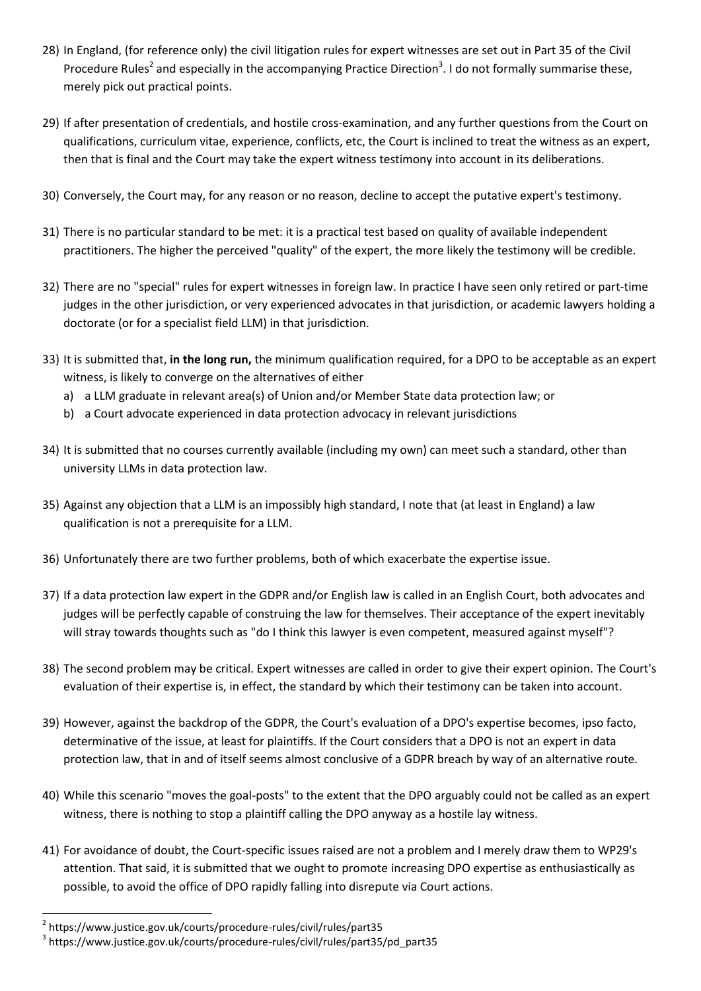- 28) In England, (for reference only) the civil litigation rules for expert witnesses are set out in Part 35 of the Civil Procedure Rules<sup>2</sup> and especially in the accompanying Practice Direction<sup>3</sup>. I do not formally summarise these, merely pick out practical points.
- 29) If after presentation of credentials, and hostile cross-examination, and any further questions from the Court on qualifications, curriculum vitae, experience, conflicts, etc, the Court is inclined to treat the witness as an expert, then that is final and the Court may take the expert witness testimony into account in its deliberations.
- 30) Conversely, the Court may, for any reason or no reason, decline to accept the putative expert's testimony.
- 31) There is no particular standard to be met: it is a practical test based on quality of available independent practitioners. The higher the perceived "quality" of the expert, the more likely the testimony will be credible.
- 32) There are no "special" rules for expert witnesses in foreign law. In practice I have seen only retired or part-time judges in the other jurisdiction, or very experienced advocates in that jurisdiction, or academic lawyers holding a doctorate (or for a specialist field LLM) in that jurisdiction.
- 33) It is submitted that, **in the long run,** the minimum qualification required, for a DPO to be acceptable as an expert witness, is likely to converge on the alternatives of either
	- a) a LLM graduate in relevant area(s) of Union and/or Member State data protection law; or
	- b) a Court advocate experienced in data protection advocacy in relevant jurisdictions
- 34) It is submitted that no courses currently available (including my own) can meet such a standard, other than university LLMs in data protection law.
- 35) Against any objection that a LLM is an impossibly high standard, I note that (at least in England) a law qualification is not a prerequisite for a LLM.
- 36) Unfortunately there are two further problems, both of which exacerbate the expertise issue.
- 37) If a data protection law expert in the GDPR and/or English law is called in an English Court, both advocates and judges will be perfectly capable of construing the law for themselves. Their acceptance of the expert inevitably will stray towards thoughts such as "do I think this lawyer is even competent, measured against myself"?
- 38) The second problem may be critical. Expert witnesses are called in order to give their expert opinion. The Court's evaluation of their expertise is, in effect, the standard by which their testimony can be taken into account.
- 39) However, against the backdrop of the GDPR, the Court's evaluation of a DPO's expertise becomes, ipso facto, determinative of the issue, at least for plaintiffs. If the Court considers that a DPO is not an expert in data protection law, that in and of itself seems almost conclusive of a GDPR breach by way of an alternative route.
- 40) While this scenario "moves the goal-posts" to the extent that the DPO arguably could not be called as an expert witness, there is nothing to stop a plaintiff calling the DPO anyway as a hostile lay witness.
- 41) For avoidance of doubt, the Court-specific issues raised are not a problem and I merely draw them to WP29's attention. That said, it is submitted that we ought to promote increasing DPO expertise as enthusiastically as possible, to avoid the office of DPO rapidly falling into disrepute via Court actions.

1

<sup>2</sup> https://www.justice.gov.uk/courts/procedure-rules/civil/rules/part35

<sup>3</sup> https://www.justice.gov.uk/courts/procedure-rules/civil/rules/part35/pd\_part35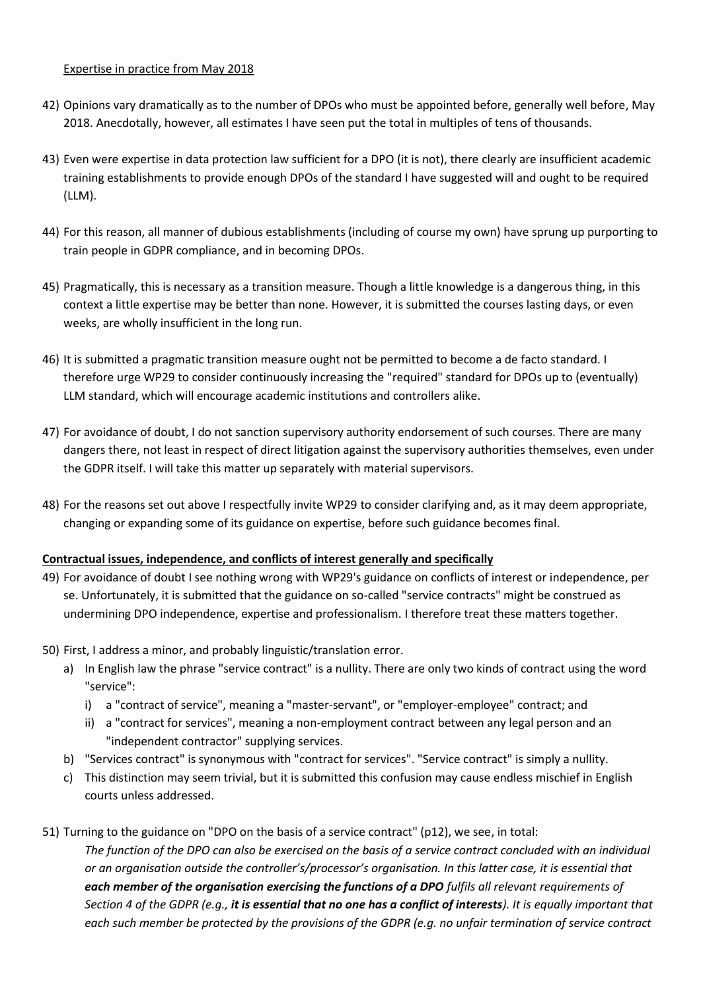#### Expertise in practice from May 2018

- 42) Opinions vary dramatically as to the number of DPOs who must be appointed before, generally well before, May 2018. Anecdotally, however, all estimates I have seen put the total in multiples of tens of thousands.
- 43) Even were expertise in data protection law sufficient for a DPO (it is not), there clearly are insufficient academic training establishments to provide enough DPOs of the standard I have suggested will and ought to be required (LLM).
- 44) For this reason, all manner of dubious establishments (including of course my own) have sprung up purporting to train people in GDPR compliance, and in becoming DPOs.
- 45) Pragmatically, this is necessary as a transition measure. Though a little knowledge is a dangerous thing, in this context a little expertise may be better than none. However, it is submitted the courses lasting days, or even weeks, are wholly insufficient in the long run.
- 46) It is submitted a pragmatic transition measure ought not be permitted to become a de facto standard. I therefore urge WP29 to consider continuously increasing the "required" standard for DPOs up to (eventually) LLM standard, which will encourage academic institutions and controllers alike.
- 47) For avoidance of doubt, I do not sanction supervisory authority endorsement of such courses. There are many dangers there, not least in respect of direct litigation against the supervisory authorities themselves, even under the GDPR itself. I will take this matter up separately with material supervisors.
- 48) For the reasons set out above I respectfully invite WP29 to consider clarifying and, as it may deem appropriate, changing or expanding some of its guidance on expertise, before such guidance becomes final.

### **Contractual issues, independence, and conflicts of interest generally and specifically**

- 49) For avoidance of doubt I see nothing wrong with WP29's guidance on conflicts of interest or independence, per se. Unfortunately, it is submitted that the guidance on so-called "service contracts" might be construed as undermining DPO independence, expertise and professionalism. I therefore treat these matters together.
- 50) First, I address a minor, and probably linguistic/translation error.
	- a) In English law the phrase "service contract" is a nullity. There are only two kinds of contract using the word "service":
		- i) a "contract of service", meaning a "master-servant", or "employer-employee" contract; and
		- ii) a "contract for services", meaning a non-employment contract between any legal person and an "independent contractor" supplying services.
	- b) "Services contract" is synonymous with "contract for services". "Service contract" is simply a nullity.
	- c) This distinction may seem trivial, but it is submitted this confusion may cause endless mischief in English courts unless addressed.
- 51) Turning to the guidance on "DPO on the basis of a service contract" (p12), we see, in total: *The function of the DPO can also be exercised on the basis of a service contract concluded with an individual or an organisation outside the controller's/processor's organisation. In this latter case, it is essential that each member of the organisation exercising the functions of a DPO fulfils all relevant requirements of Section 4 of the GDPR (e.g., it is essential that no one has a conflict of interests). It is equally important that each such member be protected by the provisions of the GDPR (e.g. no unfair termination of service contract*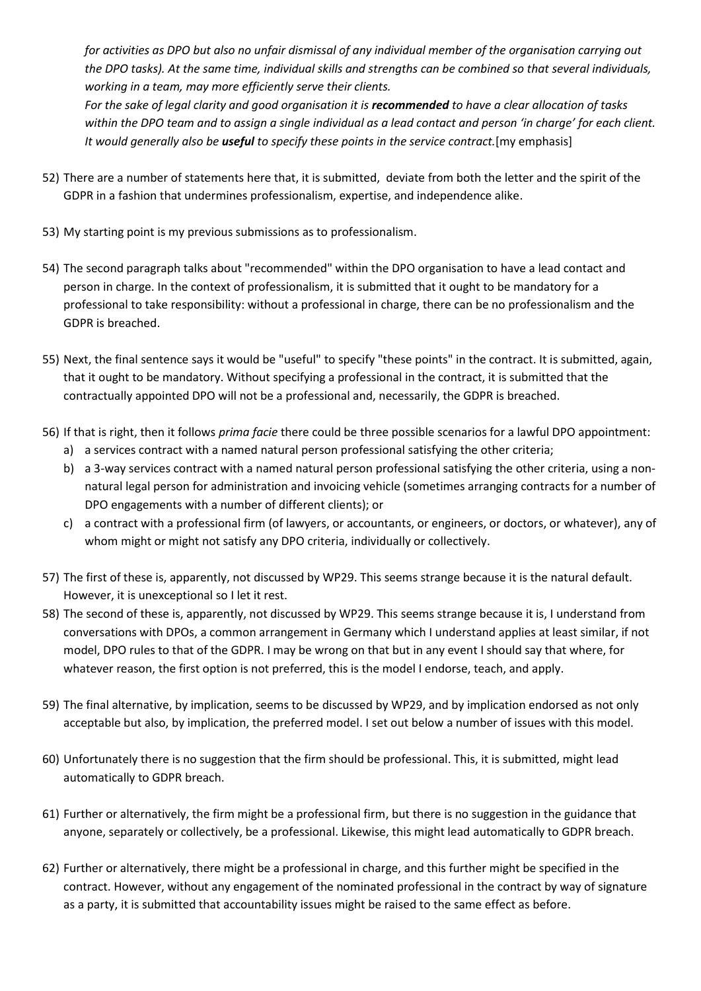*for activities as DPO but also no unfair dismissal of any individual member of the organisation carrying out the DPO tasks). At the same time, individual skills and strengths can be combined so that several individuals, working in a team, may more efficiently serve their clients.*

*For the sake of legal clarity and good organisation it is recommended to have a clear allocation of tasks within the DPO team and to assign a single individual as a lead contact and person 'in charge' for each client. It would generally also be useful to specify these points in the service contract.*[my emphasis]

- 52) There are a number of statements here that, it is submitted, deviate from both the letter and the spirit of the GDPR in a fashion that undermines professionalism, expertise, and independence alike.
- 53) My starting point is my previous submissions as to professionalism.
- 54) The second paragraph talks about "recommended" within the DPO organisation to have a lead contact and person in charge. In the context of professionalism, it is submitted that it ought to be mandatory for a professional to take responsibility: without a professional in charge, there can be no professionalism and the GDPR is breached.
- 55) Next, the final sentence says it would be "useful" to specify "these points" in the contract. It is submitted, again, that it ought to be mandatory. Without specifying a professional in the contract, it is submitted that the contractually appointed DPO will not be a professional and, necessarily, the GDPR is breached.
- 56) If that is right, then it follows *prima facie* there could be three possible scenarios for a lawful DPO appointment:
	- a) a services contract with a named natural person professional satisfying the other criteria;
	- b) a 3-way services contract with a named natural person professional satisfying the other criteria, using a nonnatural legal person for administration and invoicing vehicle (sometimes arranging contracts for a number of DPO engagements with a number of different clients); or
	- c) a contract with a professional firm (of lawyers, or accountants, or engineers, or doctors, or whatever), any of whom might or might not satisfy any DPO criteria, individually or collectively.
- 57) The first of these is, apparently, not discussed by WP29. This seems strange because it is the natural default. However, it is unexceptional so I let it rest.
- 58) The second of these is, apparently, not discussed by WP29. This seems strange because it is, I understand from conversations with DPOs, a common arrangement in Germany which I understand applies at least similar, if not model, DPO rules to that of the GDPR. I may be wrong on that but in any event I should say that where, for whatever reason, the first option is not preferred, this is the model I endorse, teach, and apply.
- 59) The final alternative, by implication, seems to be discussed by WP29, and by implication endorsed as not only acceptable but also, by implication, the preferred model. I set out below a number of issues with this model.
- 60) Unfortunately there is no suggestion that the firm should be professional. This, it is submitted, might lead automatically to GDPR breach.
- 61) Further or alternatively, the firm might be a professional firm, but there is no suggestion in the guidance that anyone, separately or collectively, be a professional. Likewise, this might lead automatically to GDPR breach.
- 62) Further or alternatively, there might be a professional in charge, and this further might be specified in the contract. However, without any engagement of the nominated professional in the contract by way of signature as a party, it is submitted that accountability issues might be raised to the same effect as before.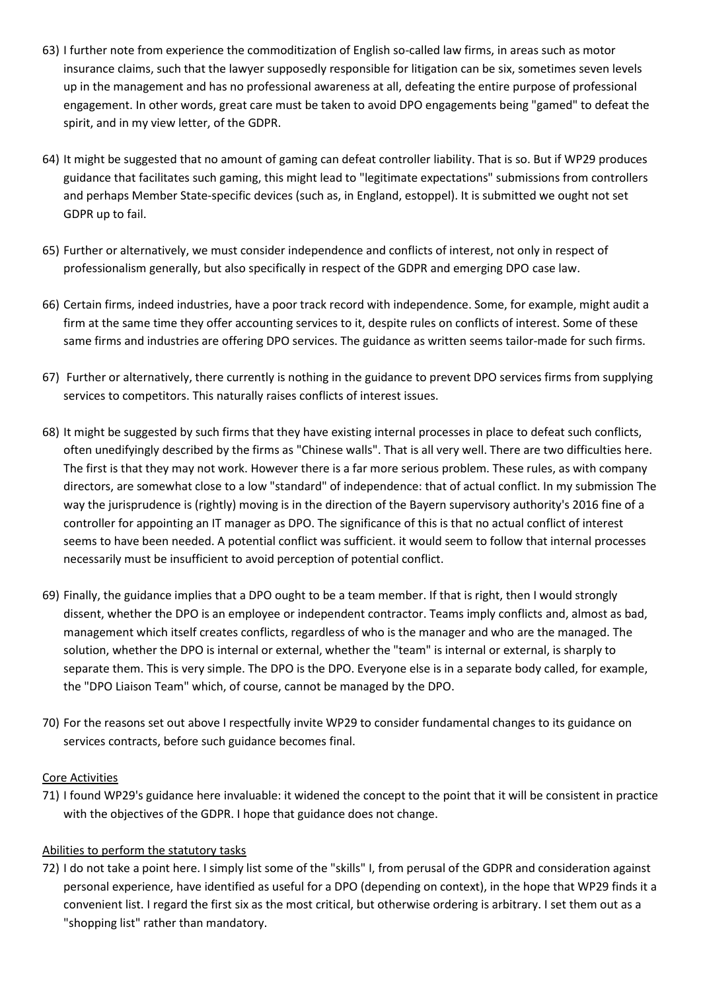- 63) I further note from experience the commoditization of English so-called law firms, in areas such as motor insurance claims, such that the lawyer supposedly responsible for litigation can be six, sometimes seven levels up in the management and has no professional awareness at all, defeating the entire purpose of professional engagement. In other words, great care must be taken to avoid DPO engagements being "gamed" to defeat the spirit, and in my view letter, of the GDPR.
- 64) It might be suggested that no amount of gaming can defeat controller liability. That is so. But if WP29 produces guidance that facilitates such gaming, this might lead to "legitimate expectations" submissions from controllers and perhaps Member State-specific devices (such as, in England, estoppel). It is submitted we ought not set GDPR up to fail.
- 65) Further or alternatively, we must consider independence and conflicts of interest, not only in respect of professionalism generally, but also specifically in respect of the GDPR and emerging DPO case law.
- 66) Certain firms, indeed industries, have a poor track record with independence. Some, for example, might audit a firm at the same time they offer accounting services to it, despite rules on conflicts of interest. Some of these same firms and industries are offering DPO services. The guidance as written seems tailor-made for such firms.
- 67) Further or alternatively, there currently is nothing in the guidance to prevent DPO services firms from supplying services to competitors. This naturally raises conflicts of interest issues.
- 68) It might be suggested by such firms that they have existing internal processes in place to defeat such conflicts, often unedifyingly described by the firms as "Chinese walls". That is all very well. There are two difficulties here. The first is that they may not work. However there is a far more serious problem. These rules, as with company directors, are somewhat close to a low "standard" of independence: that of actual conflict. In my submission The way the jurisprudence is (rightly) moving is in the direction of the Bayern supervisory authority's 2016 fine of a controller for appointing an IT manager as DPO. The significance of this is that no actual conflict of interest seems to have been needed. A potential conflict was sufficient. it would seem to follow that internal processes necessarily must be insufficient to avoid perception of potential conflict.
- 69) Finally, the guidance implies that a DPO ought to be a team member. If that is right, then I would strongly dissent, whether the DPO is an employee or independent contractor. Teams imply conflicts and, almost as bad, management which itself creates conflicts, regardless of who is the manager and who are the managed. The solution, whether the DPO is internal or external, whether the "team" is internal or external, is sharply to separate them. This is very simple. The DPO is the DPO. Everyone else is in a separate body called, for example, the "DPO Liaison Team" which, of course, cannot be managed by the DPO.
- 70) For the reasons set out above I respectfully invite WP29 to consider fundamental changes to its guidance on services contracts, before such guidance becomes final.

### Core Activities

71) I found WP29's guidance here invaluable: it widened the concept to the point that it will be consistent in practice with the objectives of the GDPR. I hope that guidance does not change.

### Abilities to perform the statutory tasks

72) I do not take a point here. I simply list some of the "skills" I, from perusal of the GDPR and consideration against personal experience, have identified as useful for a DPO (depending on context), in the hope that WP29 finds it a convenient list. I regard the first six as the most critical, but otherwise ordering is arbitrary. I set them out as a "shopping list" rather than mandatory.